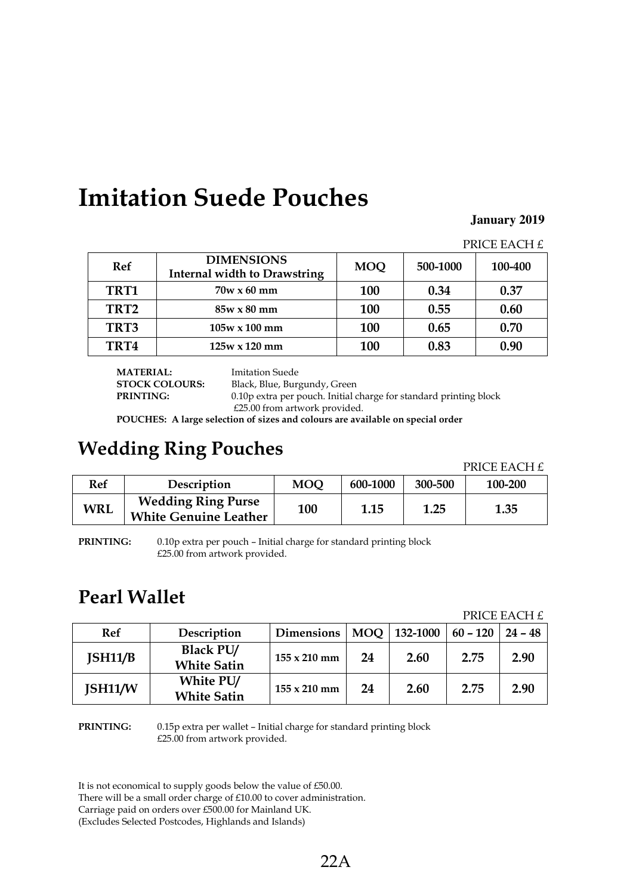## **Imitation Suede Pouches**

#### **January 2019**

PRICE EACH  $f$ 

|             |                                                          |            |          | --------------- |
|-------------|----------------------------------------------------------|------------|----------|-----------------|
| <b>Ref</b>  | <b>DIMENSIONS</b><br><b>Internal width to Drawstring</b> |            | 500-1000 | 100-400         |
| TRT1        | $70w \times 60$ mm                                       | <b>100</b> | 0.34     | 0.37            |
| TRT2        | $85w \times 80$ mm                                       | <b>100</b> | 0.55     | 0.60            |
| TRT3        | $105w \times 100$ mm                                     | <b>100</b> | 0.65     | 0.70            |
| <b>TRT4</b> | $125w \times 120$ mm                                     | <b>100</b> | 0.83     | 0.90            |

**MATERIAL:** Imitation Suede<br> **STOCK COLOURS:** Black, Blue, Bur

Black, Blue, Burgundy, Green

**PRINTING:** 0.10p extra per pouch. Initial charge for standard printing block £25.00 from artwork provided.

**POUCHES: A large selection of sizes and colours are available on special order**

# **Wedding Ring Pouches Property PRICE EACH £**

| Ref | Description                                               | MOQ | 600-1000 | 300-500 | 100-200 |
|-----|-----------------------------------------------------------|-----|----------|---------|---------|
| WRL | <b>Wedding Ring Purse</b><br><b>White Genuine Leather</b> | 100 | 1.15     | 1.25    | 1.35    |

**PRINTING:** 0.10p extra per pouch – Initial charge for standard printing block £25.00 from artwork provided.

### **Pearl Wallet**

PRICE EACH £

| Ref     | Description                            | <b>Dimensions</b>   | $\blacksquare$ MOO | 132-1000 | $60 - 120$   24 - 48 |      |
|---------|----------------------------------------|---------------------|--------------------|----------|----------------------|------|
| ISH11/B | <b>Black PU/</b><br><b>White Satin</b> | $155 \times 210$ mm | 24                 | 2.60     | 2.75                 | 2.90 |
| JSH11/W | White PU/<br><b>White Satin</b>        | $155 \times 210$ mm | 24                 | 2.60     | 2.75                 | 2.90 |

**PRINTING:** 0.15p extra per wallet – Initial charge for standard printing block £25.00 from artwork provided.

It is not economical to supply goods below the value of £50.00.

There will be a small order charge of £10.00 to cover administration.

Carriage paid on orders over £500.00 for Mainland UK.

(Excludes Selected Postcodes, Highlands and Islands)